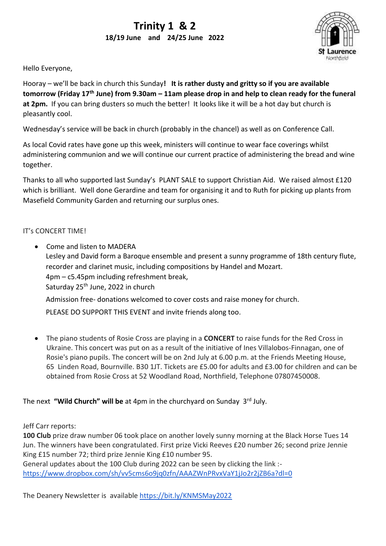# **Trinity 1 & 2 18/19 June and 24/25 June 2022**



Hello Everyone,

Hooray – we'll be back in church this Sunday**! It is rather dusty and gritty so if you are available tomorrow (Friday 17th June) from 9.30am – 11am please drop in and help to clean ready for the funeral**  at 2pm. If you can bring dusters so much the better! It looks like it will be a hot day but church is pleasantly cool.

Wednesday's service will be back in church (probably in the chancel) as well as on Conference Call.

As local Covid rates have gone up this week, ministers will continue to wear face coverings whilst administering communion and we will continue our current practice of administering the bread and wine together.

Thanks to all who supported last Sunday's PLANT SALE to support Christian Aid. We raised almost £120 which is brilliant. Well done Gerardine and team for organising it and to Ruth for picking up plants from Masefield Community Garden and returning our surplus ones.

## IT's CONCERT TIME!

• Come and listen to MADERA Lesley and David form a Baroque ensemble and present a sunny programme of 18th century flute, recorder and clarinet music, including compositions by Handel and Mozart. 4pm – c5.45pm including refreshment break, Saturday 25<sup>th</sup> June, 2022 in church

Admission free- donations welcomed to cover costs and raise money for church.

PLEASE DO SUPPORT THIS EVENT and invite friends along too.

• The piano students of Rosie Cross are playing in a **CONCERT** to raise funds for the Red Cross in Ukraine. This concert was put on as a result of the initiative of Ines Villalobos-Finnagan, one of Rosie's piano pupils. The concert will be on 2nd July at 6.00 p.m. at the Friends Meeting House, 65 Linden Road, Bournville. B30 1JT. Tickets are £5.00 for adults and £3.00 for children and can be obtained from Rosie Cross at 52 Woodland Road, Northfield, Telephone 07807450008.

## The next **"Wild Church" will be** at 4pm in the churchyard on Sunday 3rd July.

Jeff Carr reports:

**100 Club** prize draw number 06 took place on another lovely sunny morning at the Black Horse Tues 14 Jun. The winners have been congratulated. First prize Vicki Reeves £20 number 26; second prize Jennie King £15 number 72; third prize Jennie King £10 number 95.

General updates about the 100 Club during 2022 can be seen by clicking the link : <https://www.dropbox.com/sh/vv5cms6o9jq0zfn/AAAZWnPRvxVaY1jJo2r2jZB6a?dl=0>

The Deanery Newsletter is available https://bit.ly/KNMSMay2022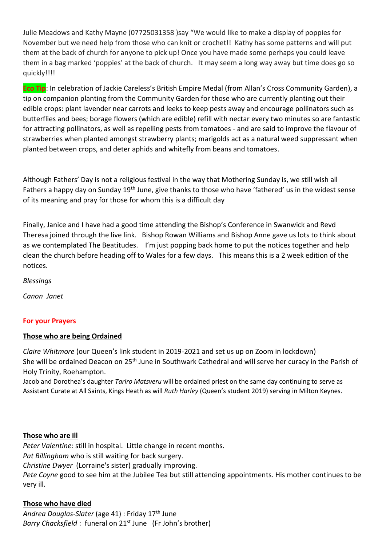Julie Meadows and Kathy Mayne (07725031358 )say "We would like to make a display of poppies for November but we need help from those who can knit or crochet!! Kathy has some patterns and will put them at the back of church for anyone to pick up! Once you have made some perhaps you could leave them in a bag marked 'poppies' at the back of church. It may seem a long way away but time does go so quickly!!!!

**Eco Tip**: In celebration of Jackie Careless's British Empire Medal (from Allan's Cross Community Garden), a tip on companion planting from the Community Garden for those who are currently planting out their edible crops: plant lavender near carrots and leeks to keep pests away and encourage pollinators such as butterflies and bees; borage flowers (which are edible) refill with nectar every two minutes so are fantastic for attracting pollinators, as well as repelling pests from tomatoes - and are said to improve the flavour of strawberries when planted amongst strawberry plants; marigolds act as a natural weed suppressant when planted between crops, and deter aphids and whitefly from beans and tomatoes.

Although Fathers' Day is not a religious festival in the way that Mothering Sunday is, we still wish all Fathers a happy day on Sunday 19<sup>th</sup> June, give thanks to those who have 'fathered' us in the widest sense of its meaning and pray for those for whom this is a difficult day

Finally, Janice and I have had a good time attending the Bishop's Conference in Swanwick and Revd Theresa joined through the live link. Bishop Rowan Williams and Bishop Anne gave us lots to think about as we contemplated The Beatitudes. I'm just popping back home to put the notices together and help clean the church before heading off to Wales for a few days. This means this is a 2 week edition of the notices.

*Blessings*

*Canon Janet* 

## **For your Prayers**

## **Those who are being Ordained**

*Claire Whitmore* (our Queen's link student in 2019-2021 and set us up on Zoom in lockdown) She will be ordained Deacon on 25<sup>th</sup> June in Southwark Cathedral and will serve her curacy in the Parish of Holy Trinity, Roehampton.

Jacob and Dorothea's daughter *Tariro Matsveru* will be ordained priest on the same day continuing to serve as Assistant Curate at All Saints, Kings Heath as will *Ruth Harley* (Queen's student 2019) serving in Milton Keynes.

## **Those who are ill**

*Peter Valentine:* still in hospital. Little change in recent months. *Pat Billingham* who is still waiting for back surgery. *Christine Dwyer* (Lorraine's sister) gradually improving. *Pete Coyne* good to see him at the Jubilee Tea but still attending appointments. His mother continues to be very ill.

## **Those who have died**

*Andrea Douglas-Slater* (age 41) : Friday 17th June *Barry Chacksfield* : funeral on 21<sup>st</sup> June (Fr John's brother)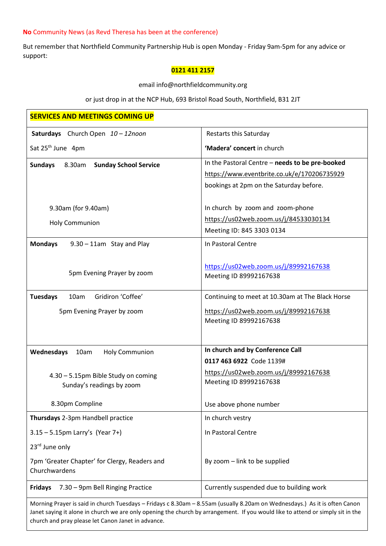## **No** Community News (as Revd Theresa has been at the conference)

But remember that Northfield Community Partnership Hub is open Monday - Friday 9am-5pm for any advice or support:

#### **0121 411 2157**

email info@northfieldcommunity.org

or just drop in at the NCP Hub, 693 Bristol Road South, Northfield, B31 2JT

| <b>SERVICES AND MEETINGS COMING UP</b>                         |                                                                                                                            |
|----------------------------------------------------------------|----------------------------------------------------------------------------------------------------------------------------|
| Saturdays Church Open 10-12noon                                | Restarts this Saturday                                                                                                     |
| Sat 25 <sup>th</sup> June 4pm                                  | 'Madera' concert in church                                                                                                 |
| <b>Sundays</b><br>8.30am<br><b>Sunday School Service</b>       | In the Pastoral Centre - needs to be pre-booked                                                                            |
|                                                                | https://www.eventbrite.co.uk/e/170206735929                                                                                |
|                                                                | bookings at 2pm on the Saturday before.                                                                                    |
| 9.30am (for 9.40am)                                            | In church by zoom and zoom-phone                                                                                           |
| <b>Holy Communion</b>                                          | https://us02web.zoom.us/j/84533030134                                                                                      |
|                                                                | Meeting ID: 845 3303 0134                                                                                                  |
| <b>Mondays</b><br>$9.30 - 11$ am Stay and Play                 | In Pastoral Centre                                                                                                         |
|                                                                | https://us02web.zoom.us/j/89992167638                                                                                      |
| 5pm Evening Prayer by zoom                                     | Meeting ID 89992167638                                                                                                     |
| Gridiron 'Coffee'<br><b>Tuesdays</b><br>10am                   | Continuing to meet at 10.30am at The Black Horse                                                                           |
| 5pm Evening Prayer by zoom                                     | https://us02web.zoom.us/j/89992167638                                                                                      |
|                                                                | Meeting ID 89992167638                                                                                                     |
|                                                                |                                                                                                                            |
| Wednesdays<br>10am<br><b>Holy Communion</b>                    | In church and by Conference Call                                                                                           |
|                                                                | 0117 463 6922 Code 1139#                                                                                                   |
| 4.30 - 5.15pm Bible Study on coming                            | https://us02web.zoom.us/j/89992167638                                                                                      |
| Sunday's readings by zoom                                      | Meeting ID 89992167638                                                                                                     |
| 8.30pm Compline                                                | Use above phone number                                                                                                     |
| Thursdays 2-3pm Handbell practice                              | In church vestry                                                                                                           |
| $3.15 - 5.15$ pm Larry's (Year 7+)                             | In Pastoral Centre                                                                                                         |
| 23rd June only                                                 |                                                                                                                            |
| 7pm 'Greater Chapter' for Clergy, Readers and<br>Churchwardens | By zoom - link to be supplied                                                                                              |
| <b>Fridays</b><br>7.30 - 9pm Bell Ringing Practice             | Currently suspended due to building work                                                                                   |
|                                                                | Morning Prayer is said in church Tuesdays - Fridays c 8.30am - 8.55am (usually 8.20am on Wednesdays.) As it is often Canon |

Morning Prayer is said in church Tuesdays – Fridays c 8.30am – 8.55am (usually 8.20am on Wednesdays.) As it is often Canon Janet saying it alone in church we are only opening the church by arrangement. If you would like to attend or simply sit in the church and pray please let Canon Janet in advance.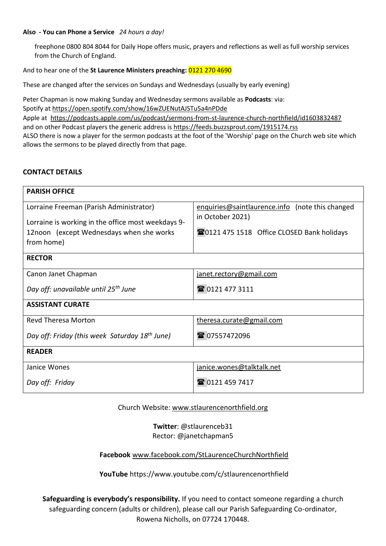#### **Also - You can Phone a Service** *24 hours a day!*

freephone 0800 804 8044 for Daily Hope offers music, prayers and reflections as well as full worship services from the Church of England.

## And to hear one of the **St Laurence Ministers preaching:** 0121 270 4690

These are changed after the services on Sundays and Wednesdays (usually by early evening)

Peter Chapman is now making Sunday and Wednesday sermons available as **Podcasts**: via: Spotify at <https://open.spotify.com/show/16wZUENutAJSTu5a4nPDde> Apple at <https://podcasts.apple.com/us/podcast/sermons-from-st-laurence-church-northfield/id1603832487> and on other Podcast players the generic address is <https://feeds.buzzsprout.com/1915174.rss> ALSO there is now a player for the sermon podcasts at the foot of the 'Worship' page on the Church web site which allows the sermons to be played directly from that page.

## **CONTACT DETAILS**

| <b>PARISH OFFICE</b>                                       |                                                 |  |
|------------------------------------------------------------|-------------------------------------------------|--|
| Lorraine Freeman (Parish Administrator)                    | enquiries@saintlaurence.info (note this changed |  |
| Lorraine is working in the office most weekdays 9-         | in October 2021)                                |  |
| 12noon (except Wednesdays when she works                   | 20121 475 1518 Office CLOSED Bank holidays      |  |
| from home)                                                 |                                                 |  |
| <b>RECTOR</b>                                              |                                                 |  |
| Canon Janet Chapman                                        | janet.rectory@gmail.com                         |  |
| Day off: unavailable until 25 <sup>th</sup> June           | 雷 0121 477 3111                                 |  |
| <b>ASSISTANT CURATE</b>                                    |                                                 |  |
| <b>Revd Theresa Morton</b>                                 | theresa.curate@gmail.com                        |  |
| Day off: Friday (this week Saturday 18 <sup>th</sup> June) | ■ 07557472096                                   |  |
| <b>READER</b>                                              |                                                 |  |
| Janice Wones                                               | janice.wones@talktalk.net                       |  |
| Day off: Friday                                            | ■ 0121 459 7417                                 |  |

Church Website: [www.stlaurencenorthfield.org](http://www.stlaurencenorthfield.org/)

**Twitter**: @stlaurenceb31 Rector: @janetchapman5

**Facebook** [www.facebook.com/StLaurenceChurchNorthfield](http://www.facebook.com/StLaurenceChurchNorthfield)

**YouTube** https://www.youtube.com/c/stlaurencenorthfield

**Safeguarding is everybody's responsibility.** If you need to contact someone regarding a church safeguarding concern (adults or children), please call our Parish Safeguarding Co-ordinator, Rowena Nicholls, on 07724 170448.